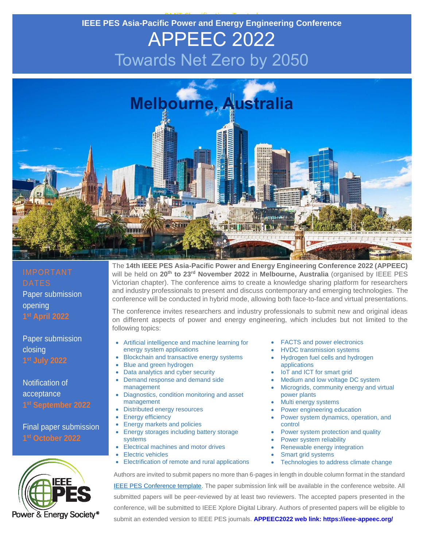#### RMIT Classification: Trusted **IEEE PES Asia-Pacific Power and Energy Engineering Conference**

### APPEEC 2022 Towards Net Zero by 2050



## Paper submission opening

Paper submission closing

Notification of acceptance

Final paper submission



The **14th IEEE PES Asia-Pacific Power and Energy Engineering Conference 2022 (APPEEC)**  will be held on **20th to 23rd November 2022** in **Melbourne, Australia** (organised by IEEE PES Victorian chapter). The conference aims to create a knowledge sharing platform for researchers and industry professionals to present and discuss contemporary and emerging technologies. The conference will be conducted in hybrid mode, allowing both face-to-face and virtual presentations.

The conference invites researchers and industry professionals to submit new and original ideas on different aspects of power and energy engineering, which includes but not limited to the following topics:

- Artificial intelligence and machine learning for energy system applications
- Blockchain and transactive energy systems
- Blue and green hydrogen
- Data analytics and cyber security
- Demand response and demand side management
- Diagnostics, condition monitoring and asset management
- Distributed energy resources
- Energy efficiency
- Energy markets and policies
- Energy storages including battery storage systems
- Electrical machines and motor drives
- Electric vehicles
- Electrification of remote and rural applications
- FACTS and power electronics
- HVDC transmission systems
- Hydrogen fuel cells and hydrogen applications
- IoT and ICT for smart grid
- Medium and low voltage DC system
- Microgrids, community energy and virtual power plants
- Multi energy systems
- Power engineering education
- Power system dynamics, operation, and control
- Power system protection and quality
- Power system reliability
- Renewable energy integration
- Smart grid systems
- Technologies to address climate change

Authors are invited to submit papers no more than 6-pages in length in double column format in the standard [IEEE PES Conference template.](https://www.ieee-pes.org/templates-and-sample-of-pes-technical-papers) The paper submission link will be available in the conference website. All submitted papers will be peer-reviewed by at least two reviewers. The accepted papers presented in the conference, will be submitted to IEEE Xplore Digital Library. Authors of presented papers will be eligible to submit an extended version to IEEE PES journals. **APPEEC2022 web link: https://ieee-appeec.org/**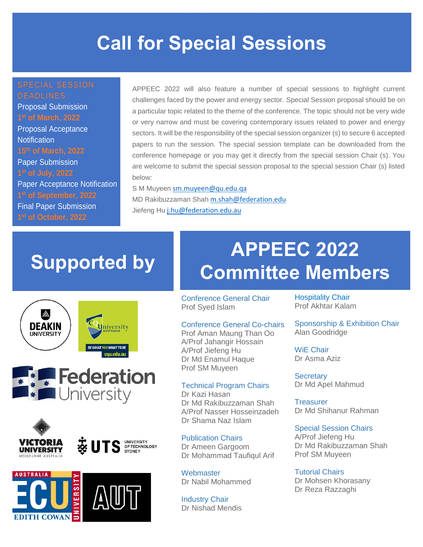### **Call for Special Sessions**

Proposal Submission Proposal Acceptance **Notification 15th of March, 2022** Paper Submission Paper Acceptance Notification Final Paper Submission:

APPEEC 2022 will also feature a number of special sessions to highlight current challenges faced by the power and energy sector. Special Session proposal should be on a particular topic related to the theme of the conference. The topic should not be very wide or very narrow and must be covering contemporary issues related to power and energy sectors. It will be the responsibility of the special session organizer (s) to secure 6 accepted papers to run the session. The special session template can be downloaded from the conference homepage or you may get it directly from the special session Chair (s). You are welcome to submit the special session proposal to the special session Chair (s) listed below:

S M Muyeen [sm.muyeen@qu.edu.qa](mailto:sm.muyeen@qu.edu.qa)  MD Rakibuzzaman Shah [m.shah@federation.edu](mailto:m.shah@federation.edu) Jiefeng Hu j.hu@federation.edu.au

### **Supported by**











### **APPEEC 2022 Committee Members**

Conference General Chair Prof Syed Islam

### Conference General Co-chairs

Prof Aman Maung Than Oo A/Prof Jahangir Hossain A/Prof Jiefeng Hu Dr Md Enamul Haque Prof SM Muyeen

#### Technical Program Chairs

Dr Kazi Hasan Dr Md Rakibuzzaman Shah A/Prof Nasser Hosseinzadeh Dr Shama Naz Islam

Publication Chairs Dr Ameen Gargoom Dr Mohammad Taufiqul Arif

**Webmaster** Dr Nabil Mohammed

Industry Chair Dr Nishad Mendis Hospitality Chair Prof Akhtar Kalam

Sponsorship & Exhibition Chair Alan Goodridge

WiE Chair Dr Asma Aziz

**Secretary** Dr Md Apel Mahmud

**Treasurer** Dr Md Shihanur Rahman

#### Special Session Chairs

A/Prof Jiefeng Hu Dr Md Rakibuzzaman Shah Prof SM Muyeen

Tutorial Chairs Dr Mohsen Khorasany Dr Reza Razzaghi